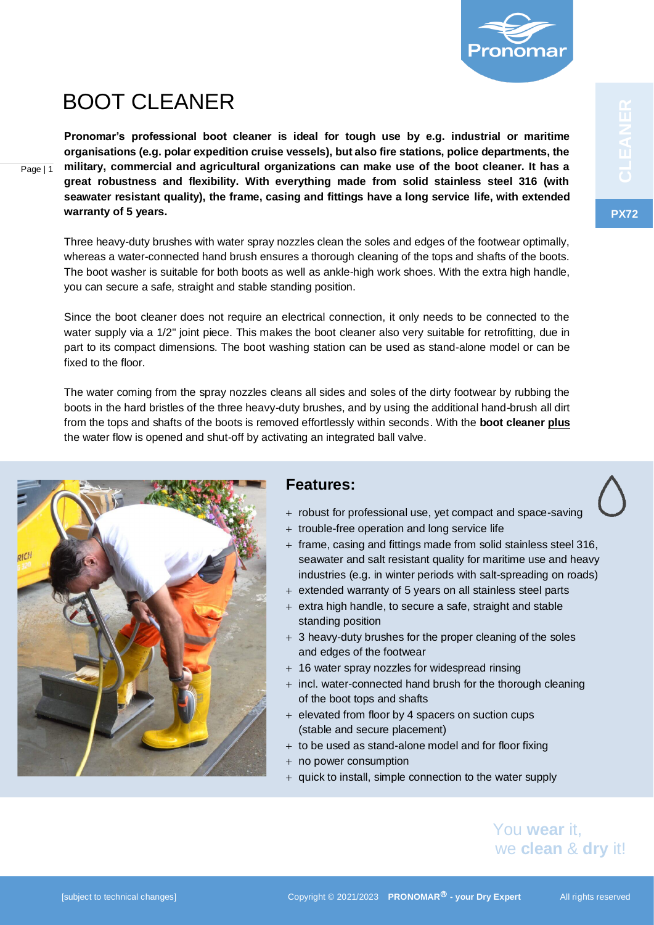

# BOOT CLEANER

Page | 1

**Pronomar's professional boot cleaner is ideal for tough use by e.g. industrial or maritime organisations (e.g. polar expedition cruise vessels), but also fire stations, police departments, the military, commercial and agricultural organizations can make use of the boot cleaner. It has a great robustness and flexibility. With everything made from solid stainless steel 316 (with seawater resistant quality), the frame, casing and fittings have a long service life, with extended warranty of 5 years.**

Three heavy-duty brushes with water spray nozzles clean the soles and edges of the footwear optimally, whereas a water-connected hand brush ensures a thorough cleaning of the tops and shafts of the boots. The boot washer is suitable for both boots as well as ankle-high work shoes. With the extra high handle, you can secure a safe, straight and stable standing position.

Since the boot cleaner does not require an electrical connection, it only needs to be connected to the water supply via a  $1/2$ " joint piece. This makes the boot cleaner also very suitable for retrofitting, due in part to its compact dimensions. The boot washing station can be used as stand-alone model or can be fixed to the floor.

The water coming from the spray nozzles cleans all sides and soles of the dirty footwear by rubbing the boots in the hard bristles of the three heavy-duty brushes, and by using the additional hand-brush all dirt from the tops and shafts of the boots is removed effortlessly within seconds. With the **boot cleaner plus** the water flow is opened and shut-off by activating an integrated ball valve.

# **Features:**

- + robust for professional use, yet compact and space-saving
- + trouble-free operation and long service life
- + frame, casing and fittings made from solid stainless steel 316, seawater and salt resistant quality for maritime use and heavy industries (e.g. in winter periods with salt-spreading on roads)
- + extended warranty of 5 years on all stainless steel parts
- + extra high handle, to secure a safe, straight and stable standing position
- $+$  3 heavy-duty brushes for the proper cleaning of the soles and edges of the footwear
- + 16 water spray nozzles for widespread rinsing
- + incl. water-connected hand brush for the thorough cleaning of the boot tops and shafts
- + elevated from floor by 4 spacers on suction cups (stable and secure placement)
- $+$  to be used as stand-alone model and for floor fixing
- + no power consumption
- + quick to install, simple connection to the water supply

### You **wear** it, we **clean** & **dry** it!

**PX72**